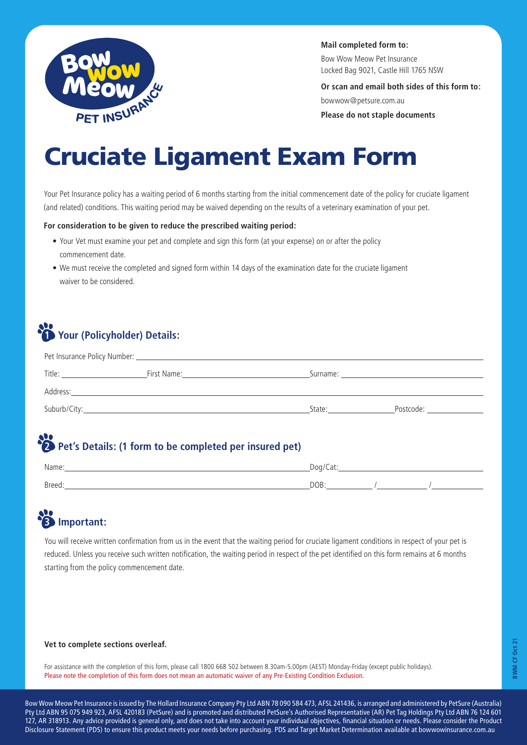

**Mail completed form to:**

Bow Wow Meow Pet Insurance Locked Bag 9021, Castle Hill 1765 NSW

**Or scan and email both sides of this form to:**

bowwow@petsure.com.au

**Please do not staple documents**

# Cruciate Ligament Exam Form

Your Pet Insurance policy has a waiting period of 6 months starting from the initial commencement date of the policy for cruciate ligament (and related) conditions. This waiting period may be waived depending on the results of a veterinary examination of your pet.

### **For consideration to be given to reduce the prescribed waiting period:**

- Your Vet must examine your pet and complete and sign this form (at your expense) on or after the policy commencement date.
- We must receive the completed and signed form within 14 days of the examination date for the cruciate ligament waiver to be considered.

# **1 Your (Policyholder) Details:**

| Title:       | First Name: | Surname: will be a series of the series of the series of the series of the series of the series of the series |           |
|--------------|-------------|---------------------------------------------------------------------------------------------------------------|-----------|
| Address:     |             |                                                                                                               |           |
| Suburb/City: |             | State:                                                                                                        | Postcode: |

## **22** Pet's Details: (1 form to be completed per insured pet)

| Name:  | Doa/C<br>$-1$<br>Cal. |
|--------|-----------------------|
| Breed: | DOB:                  |

# **3 Important:**

You will receive written confirmation from us in the event that the waiting period for cruciate ligament conditions in respect of your pet is reduced. Unless you receive such written notification, the waiting period in respect of the pet identified on this form remains at 6 months starting from the policy commencement date.

#### **Vet to complete sections overleaf.**

For assistance with the completion of this form, please call 1800 668 502 between 8.30am-5.00pm (AEST) Monday-Friday (except public holidays). Please note the completion of this form does not mean an automatic waiver of any Pre-Existing Condition Exclusion.

Bow Wow Meow Pet Insurance is issued by The Hollard Insurance Company Pty Ltd ABN 78 090 584 473, AFSL 241436, is arranged and administered by PetSure (Australia) Pty Ltd ABN 95 075 949 923, AFSL 420183 (PetSure) and is promoted and distributed PetSure's Authorised Representative (AR) Pet Tag Holdings Pty Ltd ABN 76 124 601 127, AR 318913. Any advice provided is general only, and does not take into account your individual objectives, financial situation or needs. Please consider the Product Disclosure Statement (PDS) to ensure this product meets your needs before purchasing. PDS and Target Market Determination available at bowwowinsurance.com.au